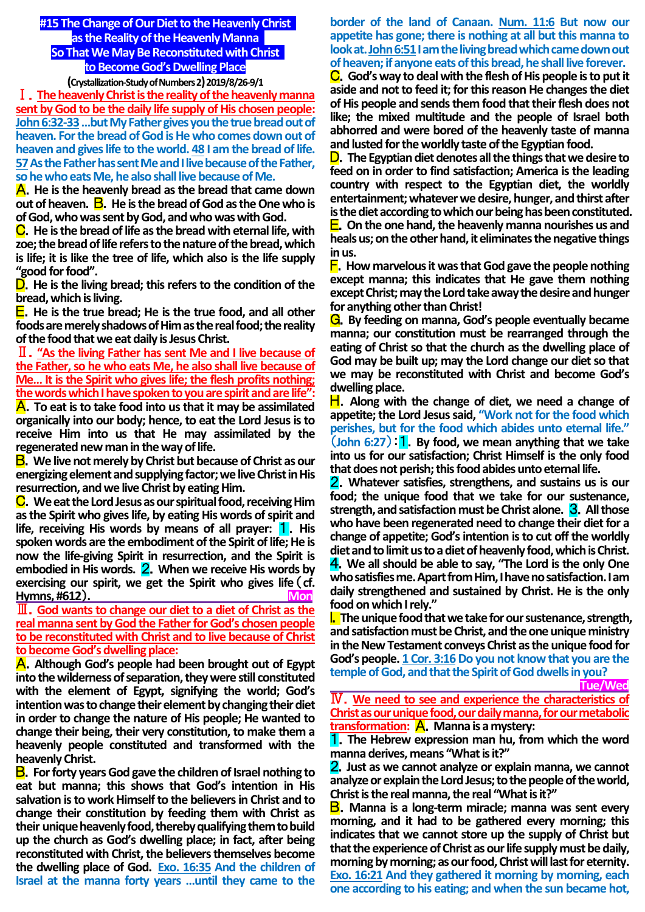**#15 The Change of Our Diet to the Heavenly Christ as the Reality of the Heavenly Manna So That We May Be Reconstituted with Christ to Become God's Dwelling Place (Crystallization-Study of Numbers 2)2019/8/26-9/1**

Ⅰ.**The heavenly Christ is the reality of the heavenly manna sent by God to be the daily life supply of His chosen people: John 6:32-33…but My Father gives you the true bread out of heaven. For the bread of God is He who comes down out of heaven and gives life to the world. 48 I am the bread of life. 57As the Father has sent Me and I live because of the Father, so he who eats Me, he also shall live because of Me.**

A.**He is the heavenly bread as the bread that came down out of heaven.** B.**He is the bread of God as the One who is of God, who was sent by God, and who was with God.**

C.**He is the bread of life as the bread with eternal life, with zoe; the bread of life refers to the nature of the bread, which is life; it is like the tree of life, which also is the life supply "good for food".**

D.**He is the living bread; this refers to the condition of the bread, which is living.**

E.**He is the true bread; He is the true food, and all other foods are merely shadows of Him as the real food; the reality of the food that we eat daily is Jesus Christ.**

Ⅱ.**"As the living Father has sent Me and I live because of the Father, so he who eats Me, he also shall live because of Me… It is the Spirit who gives life; the flesh profits nothing; the words which I have spoken to you are spirit and are life":**

A.**To eat is to take food into us that it may be assimilated organically into our body; hence, to eat the Lord Jesus is to receive Him into us that He may assimilated by the regenerated new man in the way of life.**

B.**We live not merely by Christ but because of Christ as our energizing element and supplying factor; we live Christ in His resurrection, and we live Christ by eating Him.**

C.**We eat the Lord Jesus as our spiritual food, receiving Him as the Spirit who gives life, by eating His words of spirit and life, receiving His words by means of all prayer:** 1.**His spoken words are the embodiment of the Spirit of life; He is now the life-giving Spirit in resurrection, and the Spirit is embodied in His words.** 2.**When we receive His words by exercising our spirit, we get the Spirit who gives life**(**cf. Hymns, #612).** 

Ⅲ.**God wants to change our diet to a diet of Christ as the real manna sent by God the Father for God's chosen people to be reconstituted with Christ and to live because of Christ to become God's dwelling place:**

A.**Although God's people had been brought out of Egypt into the wilderness of separation, they were still constituted with the element of Egypt, signifying the world; God's intention was to change their element by changing their diet in order to change the nature of His people; He wanted to change their being, their very constitution, to make them a heavenly people constituted and transformed with the heavenly Christ.**

B.**For forty years God gave the children of Israel nothing to eat but manna; this shows that God's intention in His salvation is to work Himself to the believers in Christ and to change their constitution by feeding them with Christ as their unique heavenly food, thereby qualifying them to build up the church as God's dwelling place; in fact, after being reconstituted with Christ, the believers themselves become the dwelling place of God. Exo. 16:35 And the children of Israel at the manna forty years …until they came to the** 

# **border of the land of Canaan. Num. 11:6 But now our appetite has gone; there is nothing at all but this manna to**  look at. John 6:51 I am the living bread which came down out **of heaven; if anyone eats of this bread, he shall live forever.**

C.**God's way to deal with the flesh of His people is to put it aside and not to feed it; for this reason He changes the diet of His people and sends them food that their flesh does not like; the mixed multitude and the people of Israel both abhorred and were bored of the heavenly taste of manna and lusted for the worldly taste of the Egyptian food.**

D.**The Egyptian diet denotes all the things that we desire to feed on in order to find satisfaction; America is the leading country with respect to the Egyptian diet, the worldly entertainment; whatever we desire, hunger, and thirst after is the diet according to which our being has been constituted.** E.**On the one hand, the heavenly manna nourishes us and heals us; on the other hand, it eliminates the negative things in us.**

F.**How marvelous it was that God gave the people nothing except manna; this indicates that He gave them nothing except Christ; may the Lord take away the desire and hunger for anything other than Christ!**

G.**By feeding on manna, God's people eventually became manna; our constitution must be rearranged through the eating of Christ so that the church as the dwelling place of God may be built up; may the Lord change our diet so that we may be reconstituted with Christ and become God's dwelling place.**

H.**Along with the change of diet, we need a change of appetite; the Lord Jesus said, "Work not for the food which perishes, but for the food which abides unto eternal life."**  (**John 6:27**):1.**By food, we mean anything that we take into us for our satisfaction; Christ Himself is the only food** 

that does not perish; this food abides unto eternal life. 2.**Whatever satisfies, strengthens, and sustains us is our** 

**food; the unique food that we take for our sustenance, strength, and satisfaction must be Christ alone.** 3.**All those who have been regenerated need to change their diet for a change of appetite; God's intention is to cut off the worldly diet and to limit us to a diet of heavenly food, which is Christ.**

4.**We all should be able to say, "The Lord is the only One who satisfies me. Apart from Him, I have no satisfaction. I am daily strengthened and sustained by Christ. He is the only food on which I rely."**

I.**The unique food that we take for our sustenance, strength, and satisfaction must be Christ, and the one unique ministry in the New Testament conveys Christ as the unique food for God's people. 1 Cor. 3:16Do you not know that you are the temple of God, and that the Spirit of God dwells in you?**

 **Tue/Wed**

Ⅳ.**We need to see and experience the characteristics of Christ as our unique food, our daily manna, for our metabolic transformation:** A.**Manna is a mystery:**

1.**The Hebrew expression man hu, from which the word manna derives, means "What is it?"**

2.**Just as we cannot analyze or explain manna, we cannot analyze or explain the Lord Jesus; to the people of the world, Christ is the real manna, the real "What is it?"**

B.**Manna is a long-term miracle; manna was sent every morning, and it had to be gathered every morning; this indicates that we cannot store up the supply of Christ but that the experience of Christ as our life supply must be daily, morning by morning; as our food, Christ will last for eternity. Exo. 16:21 And they gathered it morning by morning, each one according to his eating; and when the sun became hot,**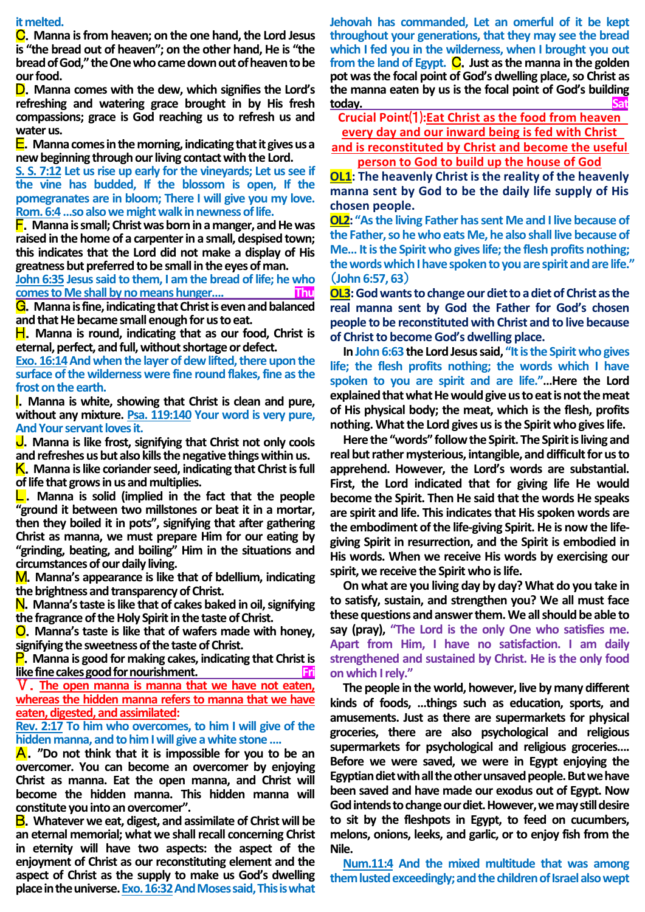#### **it melted.**

C.**Manna is from heaven; on the one hand, the Lord Jesus is "the bread out of heaven"; on the other hand, He is "the bread of God," the One who came down out of heaven to be our food.**

D.**Manna comes with the dew, which signifies the Lord's refreshing and watering grace brought in by His fresh compassions; grace is God reaching us to refresh us and water us.**

E.**Manna comes in the morning, indicating that it gives us a new beginning through our living contact with the Lord.** 

**S. S. 7:12 Let us rise up early for the vineyards; Let us see if the vine has budded, If the blossom is open, If the pomegranates are in bloom; There I will give you my love. Rom. 6:4…so also we might walk in newness of life.**

F.**Manna is small; Christ was born in a manger, and He was raised in the home of a carpenter in a small, despised town; this indicates that the Lord did not make a display of His greatness but preferred to be small in the eyes of man.** 

**John 6:35 Jesus said to them, I am the bread of life; he who comes to Me shall by no means hunger…. Thu**

G.**Manna is fine, indicating that Christ is even and balanced and that He became small enough for us to eat.**

H. Manna is round, indicating that as our food, Christ is **eternal, perfect, and full, without shortage or defect.** 

Exo. 16:14 And when the layer of dew lifted, there upon the **surface of the wilderness were fine round flakes, fine as the frost on the earth.**

I.**Manna is white, showing that Christ is clean and pure, without any mixture. Psa. 119:140 Your word is very pure, And Your servant loves it.**

J.**Manna is like frost, signifying that Christ not only cools and refreshes us but also kills the negative things within us.**

K. Manna is like coriander seed, indicating that Christ is full **of life that grows in us and multiplies.**

L.**Manna is solid (implied in the fact that the people "ground it between two millstones or beat it in a mortar, then they boiled it in pots", signifying that after gathering Christ as manna, we must prepare Him for our eating by "grinding, beating, and boiling" Him in the situations and circumstances of our daily living.**

M.**Manna's appearance is like that of bdellium, indicating the brightness and transparency of Christ.**

N.**Manna's taste is like that of cakes baked in oil, signifying the fragrance of the Holy Spirit in the taste of Christ.**

O.**Manna's taste is like that of wafers made with honey, signifying the sweetness of the taste of Christ.**

P.**Manna is good for making cakes, indicating that Christ is like fine cakes good for nourishment.** 

Ⅴ.**The open manna is manna that we have not eaten, whereas the hidden manna refers to manna that we have eaten, digested, and assimilated:** 

**Rev. 2:17 To him who overcomes, to him I will give of the hidden manna, and to him I will give a white stone ….**

A.**"Do not think that it is impossible for you to be an overcomer. You can become an overcomer by enjoying Christ as manna. Eat the open manna, and Christ will become the hidden manna. This hidden manna will constitute you into an overcomer".**

B.**Whatever we eat, digest, and assimilate of Christ will be an eternal memorial; what we shall recall concerning Christ in eternity will have two aspects: the aspect of the enjoyment of Christ as our reconstituting element and the aspect of Christ as the supply to make us God's dwelling place in the universe. Exo. 16:32And Moses said, This is what**  **Jehovah has commanded, Let an omerful of it be kept throughout your generations, that they may see the bread which I fed you in the wilderness, when I brought you out from the land of Egypt.** C.**Just as the manna in the golden pot was the focal point of God's dwelling place, so Christ as the manna eaten by us is the focal point of God's building today. Sat**

**Crucial Point**⑴**:Eat Christ as the food from heaven every day and our inward being is fed with Christ** 

**and is reconstituted by Christ and become the useful person to God to build up the house of God**

**OL1: The heavenly Christ is the reality of the heavenly manna sent by God to be the daily life supply of His chosen people.**

**OL2: "As the living Father has sent Me and I live because of the Father, so he who eats Me, he also shall live because of Me… It is the Spirit who gives life; the flesh profits nothing; the words which I have spoken to you are spirit and are life."**  (**John 6:57, 63**)

**OL3:** God wants to change our diet to a diet of Christ as the **real manna sent by God the Father for God's chosen people to be reconstituted with Christ and to live because of Christ to become God's dwelling place.**

In John 6:63 the Lord Jesus said, "It is the Spirit who gives **life; the flesh profits nothing; the words which I have spoken to you are spirit and are life."…Here the Lord explained that what He would give us to eat is not themeat of His physical body; the meat, which is the flesh, profits nothing. What the Lord gives us is the Spirit who gives life.** 

**Here the "words" follow the Spirit. The Spirit is living and real but rather mysterious, intangible, and difficult for us to apprehend. However, the Lord's words are substantial. First, the Lord indicated that for giving life He would become the Spirit. Then He said that the words He speaks are spirit and life. This indicates that His spoken words are the embodiment of the life-giving Spirit. He is now the lifegiving Spirit in resurrection, and the Spirit is embodied in His words. When we receive His words by exercising our spirit, we receive the Spirit who is life.**

**On what are you living day by day? What do you take in to satisfy, sustain, and strengthen you? We all must face these questions and answer them. We all should be able to say (pray), "The Lord is the only One who satisfies me. Apart from Him, I have no satisfaction. I am daily strengthened and sustained by Christ. He is the only food on which I rely."**

**The people in the world, however, live by many different kinds of foods, …things such as education, sports, and amusements. Just as there are supermarkets for physical groceries, there are also psychological and religious supermarkets for psychological and religious groceries…. Before we were saved, we were in Egypt enjoying the Egyptian diet with all the other unsaved people. But we have been saved and have made our exodus out of Egypt. Now God intends to change our diet. However, we may still desire to sit by the fleshpots in Egypt, to feed on cucumbers, melons, onions, leeks, and garlic, or to enjoy fish from the Nile.** 

**Num.11:4 And the mixed multitude that was among them lusted exceedingly; and the children of Israel also wept**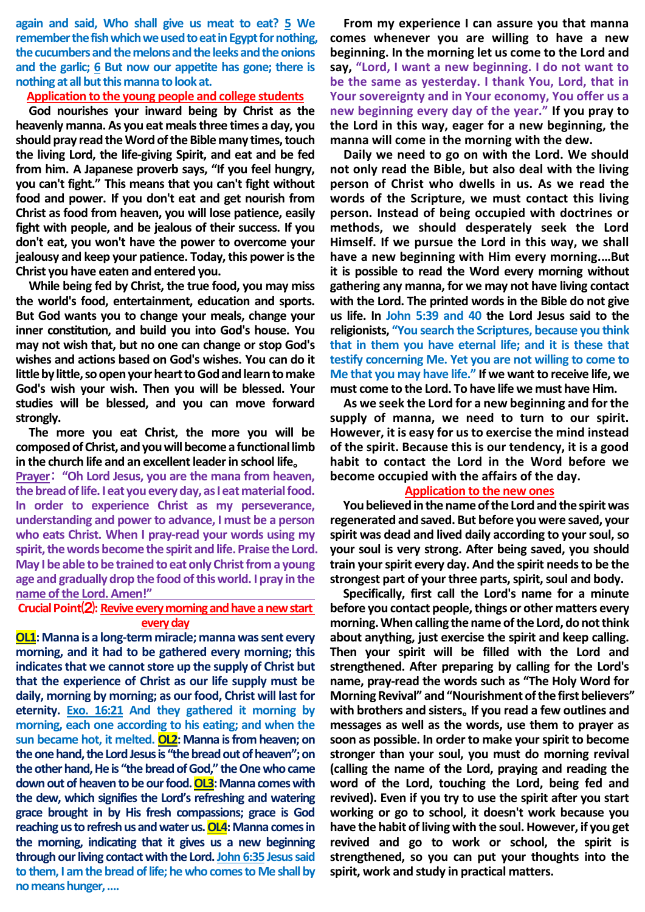**again and said, Who shall give us meat to eat? 5 We remember the fish which we used to eat in Egypt for nothing,**  the cucumbers and the melons and the leeks and the onions **and the garlic; 6 But now our appetite has gone; there is nothing at all but this manna to look at.**

### **Application to the young people and college students**

**God nourishes your inward being by Christ as the heavenly manna. As you eat meals three times a day, you should pray read the Word of the Bible many times,touch the living Lord, the life-giving Spirit, and eat and be fed from him. A Japanese proverb says, "If you feel hungry, you can't fight." This means that you can't fight without food and power. If you don't eat and get nourish from Christ as food from heaven, you will lose patience, easily fight with people, and be jealous of their success. If you don't eat, you won't have the power to overcome your jealousy and keep your patience. Today, this power is the Christ you have eaten and entered you.**

**While being fed by Christ, the true food, you may miss the world's food, entertainment, education and sports. But God wants you to change your meals, change your inner constitution, and build you into God's house. You may not wish that, but no one can change or stop God's wishes and actions based on God's wishes. You can do it little by little, so open your heart to God and learn to make God's wish your wish. Then you will be blessed. Your studies will be blessed, and you can move forward strongly.**

**The more you eat Christ, the more you will be composed of Christ, and you will become a functional limb in the church life and an excellent leader in school life**。

**Prayer**: **"Oh Lord Jesus, you are the mana from heaven, the bread of life. I eat you every day, as Ieat material food. In order to experience Christ as my perseverance, understanding and power to advance, I must be a person who eats Christ. When I pray-read your words using my spirit, the words become the spirit and life. Praise the Lord. May I be able to be trained to eat only Christ from a young age and gradually drop the food of this world. I pray in the name of the Lord. Amen!"**

## **Crucial Point**⑵**: Revive every morning and have a new start every day**

**OL1:** Manna is a long-term miracle; manna was sent every **morning, and it had to be gathered every morning; this indicates that we cannot store up the supply of Christ but that the experience of Christ as our life supply must be daily, morning by morning; as ourfood, Christ will last for eternity. Exo. 16:21 And they gathered it morning by morning, each one according to his eating; and when the sun became hot, it melted. OL2: Manna is from heaven; on the one hand, the Lord Jesus is "the bread outof heaven"; on the other hand, He is "the bread of God," the One who came** down out of heaven to be our food. OL3: Manna comes with **the dew, which signifies the Lord's refreshing and watering grace brought in by His fresh compassions; grace is God reaching us to refresh us and water us. OL4: Manna comes in the morning, indicating that it gives us a new beginning through our living contact with the Lord. John 6:35 Jesus said to them, I am the bread of life; he who comes to Me shall by no means hunger, ….**

**From my experience I can assure you that manna comes whenever you are willing to have a new beginning. In the morning let us come to the Lord and say, "Lord, I want a new beginning. I do not want to be the same as yesterday. I thank You, Lord, that in Your sovereignty and in Your economy, You offer us a new beginning every day of the year." If you pray to the Lord in this way, eager for a new beginning, the manna will come in the morning with the dew.**

**Daily we need to go on with the Lord. We should not only read the Bible, but also deal with the living person of Christ who dwells in us. As we read the words of the Scripture, we must contact this living person. Instead of being occupied with doctrines or methods, we should desperately seek the Lord Himself. If we pursue the Lord in this way, we shall have a new beginning with Him every morning.…But it is possible to read the Word every morning without gathering any manna, for we may not have living contact with the Lord. The printed words in the Bible do not give us life. In John 5:39 and 40 the Lord Jesus said to the religionists, "You search the Scriptures, because you think that in them you have eternal life; and it is these that testify concerning Me. Yet you are not willing to come to Me that you may have life."** If we want to receive life, we **must come to the Lord. To have life we must have Him.**

**As we seek the Lord for a new beginning and for the supply of manna, we need to turn to our spirit. However, it is easy for us to exercise the mind instead of the spirit. Because this is our tendency, it is a good habit to contact the Lord in the Word before we become occupied with the affairs of the day.**

#### **Application to the new ones**

**You believed in the name of the Lord and the spirit was regenerated and saved. But before you were saved, your spirit was dead and lived daily according to your soul, so your soul is very strong. After being saved, you should train your spirit every day. And the spirit needs to be the strongest part of your three parts, spirit, soul and body.**

**Specifically, first call the Lord's name for a minute before you contact people, things or other matters every morning.When calling the name of the Lord, do not think about anything, just exercise the spirit and keep calling. Then your spirit will be filled with the Lord and strengthened. After preparing by calling for the Lord's name, pray-read the words such as "The Holy Word for Morning Revival" and "Nourishment of the first believers" with brothers and sisters**。**If you read a few outlines and messages as well as the words, use them to prayer as soon as possible. In order to make your spirit to become stronger than your soul, you must do morning revival (calling the name of the Lord, praying and reading the word of the Lord, touching the Lord, being fed and revived). Even if you try to use the spirit after you start working or go to school, it doesn't work because you have the habit of living with the soul.However, if you get revived and go to work or school, the spirit is strengthened, so you can put your thoughts into the spirit, work and study in practical matters.**